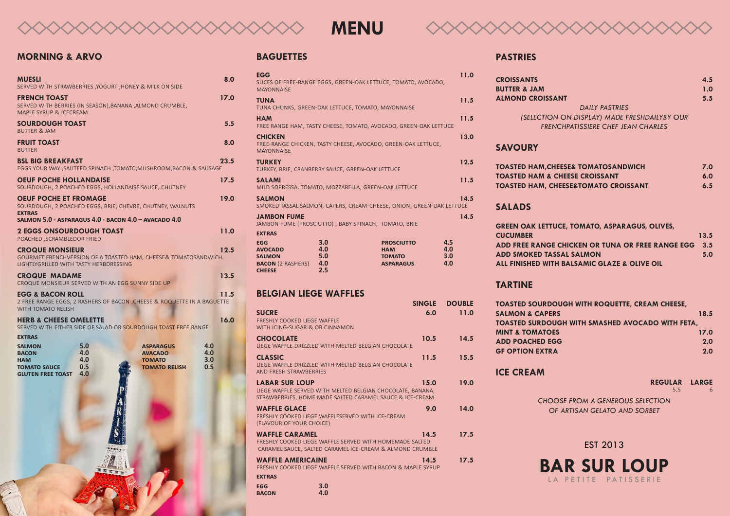

# **MENU**



# **MORNING & ARVO**

| MUESLI                                                                                         |                                 | SERVED WITH STRAWBERRIES ,YOGURT ,HONEY & MILK ON SIDE                                                            | 8.0                      |
|------------------------------------------------------------------------------------------------|---------------------------------|-------------------------------------------------------------------------------------------------------------------|--------------------------|
| FRENCH TOAST<br>MAPLE SYRUP & ICECREAM                                                         |                                 | SERVED WITH BERRIES (IN SEASON), BANANA , ALMOND CRUMBLE,                                                         | 17.0                     |
| SOURDOUGH TOAST<br><b>BUTTER &amp; JAM</b>                                                     |                                 |                                                                                                                   | 5.5                      |
| <b>FRUIT TOAST</b><br><b>BUTTER</b>                                                            |                                 |                                                                                                                   | 8.0                      |
| <b>BSL BIG BREAKFAST</b>                                                                       |                                 | EGGS YOUR WAY , SAUTEED SPINACH , TOMATO, MUSHROOM, BACON & SAUSAGE                                               | 23.5                     |
| OEUF POCHE HOLLANDAISE                                                                         |                                 | SOURDOUGH, 2 POACHED EGGS, HOLLANDAISE SAUCE, CHUTNEY                                                             | 17.5                     |
| <b>OEUF POCHE ET FROMAGE</b><br><b>EXTRAS</b>                                                  |                                 | SOURDOUGH, 2 POACHED EGGS, BRIE, CHEVRE, CHUTNEY, WALNUTS<br>SALMON 5.0 - ASPARAGUS 4.0 - BACON 4.0 - AVACADO 4.0 | 19.0                     |
| 2 EGGS ONSOURDOUGH TOAST<br>POACHED, SCRAMBLEDOR FRIED                                         |                                 |                                                                                                                   | 11.0                     |
| <b>CROQUE MONSIEUR</b><br>LIGHTLYGRILLED WITH TASTY HERBDRESSING                               |                                 | GOURMET FRENCHVERSION OF A TOASTED HAM, CHEESE& TOMATOSANDWICH.                                                   | 12.5                     |
| <b>CROQUE MADAME</b><br>CROQUE MONSIEUR SERVED WITH AN EGG SUNNY SIDE UP                       |                                 |                                                                                                                   | 13.5                     |
| EGG & BACON ROLL<br>WITH TOMATO RELISH                                                         |                                 | 2 FREE RANGE EGGS, 2 RASHERS OF BACON , CHEESE & ROQUETTE IN A BAGUETTE                                           | 11.5                     |
| <b>HERB &amp; CHEESE OMELETTE</b><br><b>EXTRAS</b>                                             |                                 | SERVED WITH EITHER SIDE OF SALAD OR SOURDOUGH TOAST FREE RANGE                                                    | 16.0                     |
| <b>SALMON</b><br><b>BACON</b><br><b>HAM</b><br><b>TOMATO SAUCE</b><br><b>GLUTEN FREE TOAST</b> | 5.0<br>4.0<br>4.0<br>0.5<br>4.0 | <b>ASPARAGUS</b><br><b>AVACADO</b><br><b>TOMATO</b><br><b>TOMATO RELISH</b>                                       | 4.0<br>4.0<br>3.0<br>0.5 |
|                                                                                                |                                 |                                                                                                                   |                          |

## **BAGUETTES**

| <b>EGG</b><br><b>AVOCADO</b><br><b>SALMON</b><br><b>BACON</b> (2 RASHERS)<br><b>CHEESE</b> | 3.0<br>4.0<br>5.0<br>4.0<br>2.5                      | <b>PROSCIUTTO</b><br><b>HAM</b><br><b>TOMATO</b><br><b>ASPARAGUS</b> | 4.5<br>4.0<br>3.0<br>4.0 |
|--------------------------------------------------------------------------------------------|------------------------------------------------------|----------------------------------------------------------------------|--------------------------|
| <b>EXTRAS</b>                                                                              |                                                      |                                                                      |                          |
| <b>JAMBON FUME</b>                                                                         | JAMBON FUME (PROSCIUTTO), BABY SPINACH, TOMATO, BRIE |                                                                      | 14.5                     |
| <b>SALMON</b>                                                                              |                                                      | SMOKED TASSAL SALMON, CAPERS, CREAM-CHEESE, ONION, GREEN-OAK LETTUCE | 14.5                     |
| <b>SALAMI</b>                                                                              | MILD SOPRESSA, TOMATO, MOZZARELLA, GREEN-OAK LETTUCE |                                                                      | 11.5                     |
| <b>TURKEY</b>                                                                              | TURKEY, BRIE, CRANBERRY SAUCE, GREEN-OAK LETTUCE     |                                                                      | 12.5                     |
| <b>CHICKEN</b><br><b>MAYONNAISE</b>                                                        |                                                      | FREE-RANGE CHICKEN, TASTY CHEESE, AVOCADO, GREEN-OAK LETTUCE,        | 13.0                     |
| <b>HAM</b>                                                                                 |                                                      | FREE RANGE HAM, TASTY CHEESE, TOMATO, AVOCADO, GREEN-OAK LETTUCE     | 11.5                     |
| <b>TUNA</b>                                                                                | TUNA CHUNKS, GREEN-OAK LETTUCE, TOMATO, MAYONNAISE   |                                                                      | 11.5                     |
| <b>EGG</b><br><b>MAYONNAISE</b>                                                            |                                                      | SLICES OF FREE-RANGE EGGS, GREEN-OAK LETTUCE, TOMATO, AVOCADO,       | 11.0                     |

# **BELGIAN LIEGE WAFFLES**

|                                                                                                                                                 | <b>SINGLE</b> | <b>DOUBLE</b> |
|-------------------------------------------------------------------------------------------------------------------------------------------------|---------------|---------------|
| <b>SUCRE</b><br><b>FRESHLY COOKED LIEGE WAFFLE</b><br>WITH ICING-SUGAR & OR CINNAMON                                                            | 6.0           | 11.0          |
| <b>CHOCOLATE</b><br>LIEGE WAFFLE DRIZZLED WITH MELTED BELGIAN CHOCOLATE                                                                         | 10.5          | 14.5          |
| <b>CLASSIC</b><br>LIEGE WAFFLE DRIZZLED WITH MELTED BELGIAN CHOCOLATE<br>AND FRESH STRAWBERRIES                                                 | 11.5          | 15.5          |
| <b>LABAR SUR LOUP</b><br>LIEGE WAFFLE SERVED WITH MELTED BELGIAN CHOCOLATE, BANANA,<br>STRAWBERRIES, HOME MADE SALTED CARAMEL SAUCE & ICE-CREAM | 15.0          | 19.0          |
| WAFFLE GLACE<br><b>FRESHLY COOKED LIEGE WAFFLESERVED WITH ICE-CREAM</b><br>(FLAVOUR OF YOUR CHOICE)                                             | 9.0           | 14.0          |
| <b>WAFFLE CARAMEL</b><br>ERESHIY COOKED LIEGE WAFFLE SERVED WITH HOMEMADE SALTED<br>CARAMEL SAUCE, SALTED CARAMEL ICE-CREAM & ALMOND CRUMBLE    | 14.5          | 17.5          |
| WAFFLE AMERICAINE<br>FRESHLY COOKED LIEGE WAFFLE SERVED WITH BACON & MAPLE SYRUP                                                                | 14.5          | 17.5          |
| <b>EXTRAS</b>                                                                                                                                   |               |               |
| 3.0<br>EGG<br>4.0<br><b>BACON</b>                                                                                                               |               |               |

#### **PASTRIES**

| <b>CROISSANTS</b>                            | 4.5 |
|----------------------------------------------|-----|
| <b>BUTTER &amp; JAM</b>                      | 1.0 |
| <b>ALMOND CROISSANT</b>                      | 5.5 |
| <b>DAILY PASTRIES</b>                        |     |
| (SELECTION ON DISPLAY) MADE FRESHDAILYBY OUR |     |
| <b>FRENCHPATISSIERE CHEF JEAN CHARLES</b>    |     |
|                                              |     |

# **SAVOURY**

| <b>TOASTED HAM, CHEESE&amp; TOMATOSANDWICH</b>  | 7.0 |
|-------------------------------------------------|-----|
| <b>TOASTED HAM &amp; CHEESE CROISSANT</b>       | 6.0 |
| <b>TOASTED HAM, CHEESE&amp;TOMATO CROISSANT</b> | 6.5 |

# **SALADS**

| <b>GREEN OAK LETTUCE, TOMATO, ASPARAGUS, OLIVES,</b> |      |
|------------------------------------------------------|------|
| <b>CUCUMBER</b>                                      | 13.5 |
| ADD FREE RANGE CHICKEN OR TUNA OR FREE RANGE EGG     | 3.5  |
| <b>ADD SMOKED TASSAL SALMON</b>                      | 5.0  |
| ALL FINISHED WITH BALSAMIC GLAZE & OLIVE OIL         |      |

# **TARTINE**

| <b>TOASTED SOURDOUGH WITH ROQUETTE, CREAM CHEESE,</b>   |      |
|---------------------------------------------------------|------|
| <b>SALMON &amp; CAPERS</b>                              | 18.5 |
| <b>TOASTED SURDOUGH WITH SMASHED AVOCADO WITH FETA,</b> |      |
| <b>MINT &amp; TOMATOES</b>                              | 17.0 |
| <b>ADD POACHED EGG</b>                                  | 2.0  |
| <b>GF OPTION EXTRA</b>                                  | 2.0  |
|                                                         |      |

# **ICE CREAM**

| <b>REGULAR LARGE</b> |
|----------------------|
| 6                    |
|                      |
|                      |
|                      |

### EST 2013